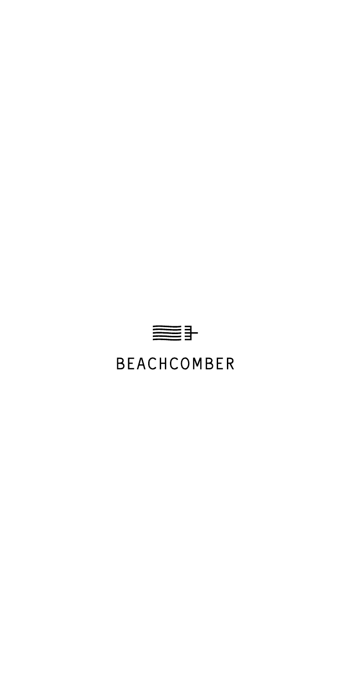

# **BEACHCOMBER**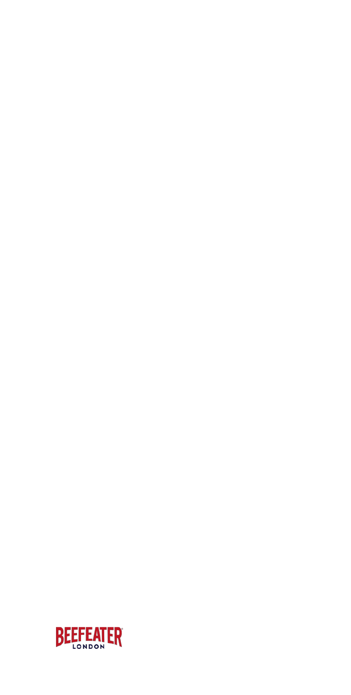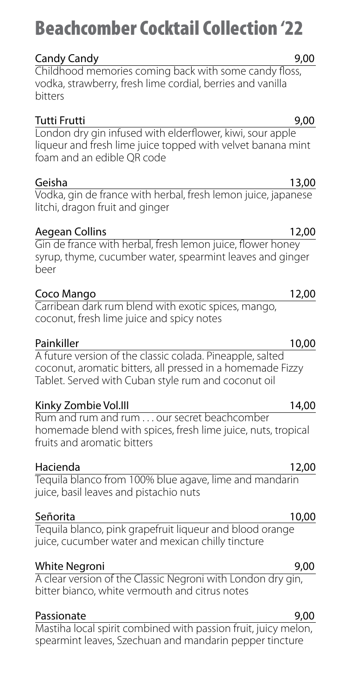# Beachcomber Cocktail Collection '22

### Candy Candy **Example 2018** 2019 12:30 12:30 12:30 12:30 12:30 12:30 12:30 12:30 12:30 12:30 12:30 12:30 12:30 12:30 12:30 12:30 12:30 12:30 12:30 12:30 12:30 12:30 12:30 12:30 12:30 12:30 12:30 12:30 12:30 12:30 12:30 12:3

Childhood memories coming back with some candy floss, vodka, strawberry, fresh lime cordial, berries and vanilla bitters

### Tutti Frutti 9,00

London dry gin infused with elderflower, kiwi, sour apple liqueur and fresh lime juice topped with velvet banana mint foam and an edible QR code

### Geisha 13,00

Vodka, gin de france with herbal, fresh lemon juice, japanese litchi, dragon fruit and ginger

### Aegean Collins 12,00

Gin de france with herbal, fresh lemon juice, flower honey syrup, thyme, cucumber water, spearmint leaves and ginger beer

### Coco Mango 12,00

Carribean dark rum blend with exotic spices, mango, coconut, fresh lime juice and spicy notes

### Painkiller 10,00

A future version of the classic colada. Pineapple, salted coconut, aromatic bitters, all pressed in a homemade Fizzy Tablet. Served with Cuban style rum and coconut oil

### Kinky Zombie Vol.III 14,00

Rum and rum and rum . . . our secret beachcomber homemade blend with spices, fresh lime juice, nuts, tropical fruits and aromatic bitters

### Hacienda 12,00

Tequila blanco from 100% blue agave, lime and mandarin juice, basil leaves and pistachio nuts

### Señorita 10,00

Tequila blanco, pink grapefruit liqueur and blood orange juice, cucumber water and mexican chilly tincture

### White Negroni 9,00

A clear version of the Classic Negroni with London dry gin, bitter bianco, white vermouth and citrus notes

### Passionate 9,00

Mastiha local spirit combined with passion fruit, juicy melon, spearmint leaves, Szechuan and mandarin pepper tincture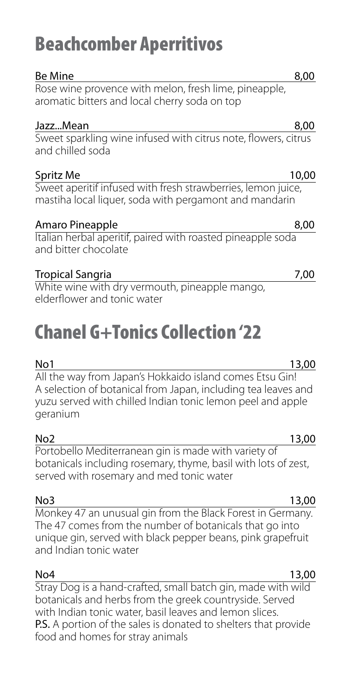# Beachcomber Aperritivos

### Be Mine 8,00

Rose wine provence with melon, fresh lime, pineapple, aromatic bitters and local cherry soda on top

### Jazz...Mean 8,00

Sweet sparkling wine infused with citrus note, flowers, citrus and chilled soda

### Spritz Me 2008 and 2009 and 2009 and 2009 and 2009 and 2009 and 2009 and 2009 and 2009 and 2009 and 2009 and 20

Sweet aperitif infused with fresh strawberries, lemon juice, mastiha local liquer, soda with pergamont and mandarin

### Amaro Pineapple 8,00

Italian herbal aperitif, paired with roasted pineapple soda and bitter chocolate

### Tropical Sangria 7,00

White wine with dry vermouth, pineapple mango, elderflower and tonic water

# Chanel G+Tonics Collection '22

No1 13,00 All the way from Japan's Hokkaido island comes Etsu Gin! A selection of botanical from Japan, including tea leaves and yuzu served with chilled Indian tonic lemon peel and apple geranium

 $N<sub>0</sub>$  13,00 Portobello Mediterranean gin is made with variety of botanicals including rosemary, thyme, basil with lots of zest, served with rosemary and med tonic water

No3 13,00 Monkey 47 an unusual gin from the Black Forest in Germany. The 47 comes from the number of botanicals that go into unique gin, served with black pepper beans, pink grapefruit and Indian tonic water

No4 13,00 Stray Dog is a hand-crafted, small batch gin, made with wild botanicals and herbs from the greek countryside. Served with Indian tonic water, basil leaves and lemon slices. P.S. A portion of the sales is donated to shelters that provide food and homes for stray animals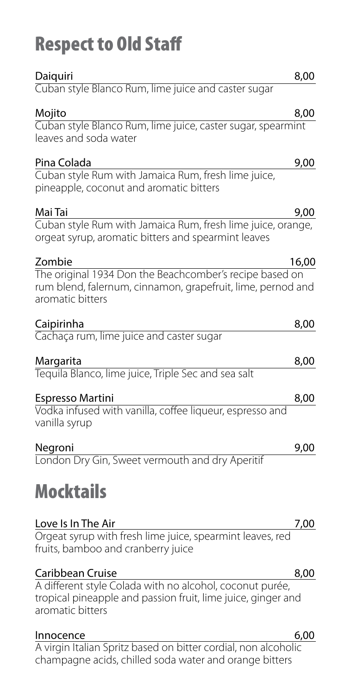| <b>Respect to Old Staff</b>                                                                                                                                             |       |
|-------------------------------------------------------------------------------------------------------------------------------------------------------------------------|-------|
| Daiquiri                                                                                                                                                                | 8,00  |
| Cuban style Blanco Rum, lime juice and caster sugar                                                                                                                     |       |
| Mojito                                                                                                                                                                  | 8,00  |
| Cuban style Blanco Rum, lime juice, caster sugar, spearmint<br>leaves and soda water                                                                                    |       |
| Pina Colada                                                                                                                                                             | 9,00  |
| Cuban style Rum with Jamaica Rum, fresh lime juice,<br>pineapple, coconut and aromatic bitters                                                                          |       |
| Mai Tai                                                                                                                                                                 | 9,00  |
| Cuban style Rum with Jamaica Rum, fresh lime juice, orange,<br>orgeat syrup, aromatic bitters and spearmint leaves                                                      |       |
| Zombie                                                                                                                                                                  | 16,00 |
| The original 1934 Don the Beachcomber's recipe based on<br>rum blend, falernum, cinnamon, grapefruit, lime, pernod and<br>aromatic bitters                              |       |
| Caipirinha                                                                                                                                                              | 8,00  |
| Cachaça rum, lime juice and caster sugar                                                                                                                                |       |
| Margarita                                                                                                                                                               | 8,00  |
| Tequila Blanco, lime juice, Triple Sec and sea salt                                                                                                                     |       |
| <b>Espresso Martini</b>                                                                                                                                                 | 8,00  |
| Vodka infused with vanilla, coffee liqueur, espresso and<br>vanilla syrup                                                                                               |       |
| Negroni                                                                                                                                                                 | 9,00  |
| London Dry Gin, Sweet vermouth and dry Aperitif                                                                                                                         |       |
| <b>Mocktails</b>                                                                                                                                                        |       |
| Love Is In The Air<br>Orgeat syrup with fresh lime juice, spearmint leaves, red<br>fruits, bamboo and cranberry juice                                                   | 7,00  |
| <b>Caribbean Cruise</b><br>A different style Colada with no alcohol, coconut purée,<br>tropical pineapple and passion fruit, lime juice, ginger and<br>aromatic bitters | 8,00  |

Innocence 6,00 A virgin Italian Spritz based on bitter cordial, non alcoholic champagne acids, chilled soda water and orange bitters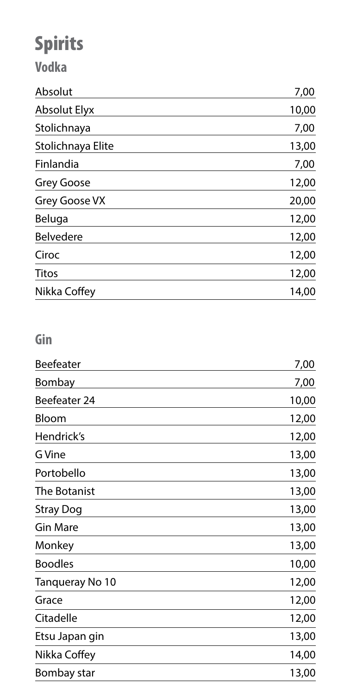# Spirits

## **Vodka**

| Absolut              | 7,00  |
|----------------------|-------|
| <b>Absolut Elyx</b>  | 10,00 |
| Stolichnaya          | 7,00  |
| Stolichnaya Elite    | 13,00 |
| Finlandia            | 7,00  |
| <b>Grey Goose</b>    | 12,00 |
| <b>Grey Goose VX</b> | 20,00 |
| Beluga               | 12,00 |
| <b>Belvedere</b>     | 12,00 |
| Ciroc                | 12,00 |
| <b>Titos</b>         | 12,00 |
| Nikka Coffey         | 14,00 |

## **Gin**

| <b>Beefeater</b> | 7,00  |
|------------------|-------|
| <b>Bombay</b>    | 7,00  |
| Beefeater 24     | 10,00 |
| Bloom            | 12,00 |
| Hendrick's       | 12,00 |
| G Vine           | 13,00 |
| Portobello       | 13,00 |
| The Botanist     | 13,00 |
| <b>Stray Dog</b> | 13,00 |
| <b>Gin Mare</b>  | 13,00 |
| Monkey           | 13,00 |
| <b>Boodles</b>   | 10,00 |
| Tanqueray No 10  | 12,00 |
| Grace            | 12,00 |
| Citadelle        | 12,00 |
| Etsu Japan gin   | 13,00 |
| Nikka Coffey     | 14,00 |
| Bombay star      | 13,00 |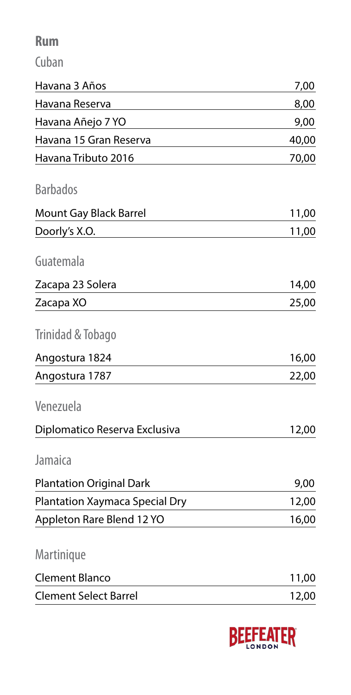## **Rum**

## Cuban

| Havana 3 Años                         | 7,00  |
|---------------------------------------|-------|
| Havana Reserva                        | 8,00  |
| Havana Añejo 7 YO                     | 9,00  |
| Havana 15 Gran Reserva                | 40,00 |
| Havana Tributo 2016                   | 70,00 |
| <b>Barbados</b>                       |       |
| <b>Mount Gay Black Barrel</b>         | 11,00 |
| Doorly's X.O.                         | 11,00 |
| Guatemala                             |       |
| Zacapa 23 Solera                      | 14,00 |
| Zacapa XO                             | 25,00 |
| Trinidad & Tobago                     |       |
| Angostura 1824                        | 16,00 |
| Angostura 1787                        | 22,00 |
| Venezuela                             |       |
| Diplomatico Reserva Exclusiva         | 12,00 |
| Jamaica                               |       |
| <b>Plantation Original Dark</b>       | 9,00  |
| <b>Plantation Xaymaca Special Dry</b> | 12,00 |
| <b>Appleton Rare Blend 12 YO</b>      | 16,00 |
| <b>Martinique</b>                     |       |
| <b>Clement Blanco</b>                 | 11,00 |
| <b>Clement Select Barrel</b>          | 12,00 |

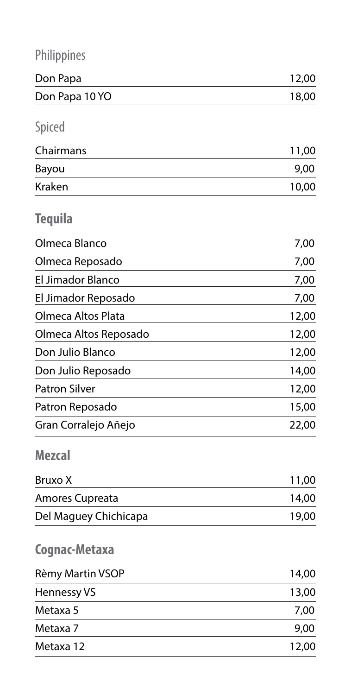## Philippines

| Don Papa              | 12,00 |
|-----------------------|-------|
| Don Papa 10 YO        | 18,00 |
| Spiced                |       |
| Chairmans             | 11,00 |
| Bayou                 | 9,00  |
| <b>Kraken</b>         | 10,00 |
| <b>Tequila</b>        |       |
| Olmeca Blanco         | 7,00  |
| Olmeca Reposado       | 7,00  |
| El Jimador Blanco     | 7,00  |
| El Jimador Reposado   | 7,00  |
| Olmeca Altos Plata    | 12,00 |
| Olmeca Altos Reposado | 12,00 |
| Don Julio Blanco      | 12,00 |
| Don Julio Reposado    | 14,00 |
| <b>Patron Silver</b>  | 12,00 |
| Patron Reposado       | 15,00 |
| Gran Corralejo Añejo  | 22,00 |
| <b>Mezcal</b>         |       |

## Bruxo X 11,00 Amores Cupreata 14,00 Del Maguey Chichicapa 19,00

## **Cognac-Metaxa**

| Rèmy Martin VSOP | 14,00 |
|------------------|-------|
| Hennessy VS      | 13,00 |
| Metaxa 5         | 7,00  |
| Metaxa 7         | 9,00  |
| Metaxa 12        | 12,00 |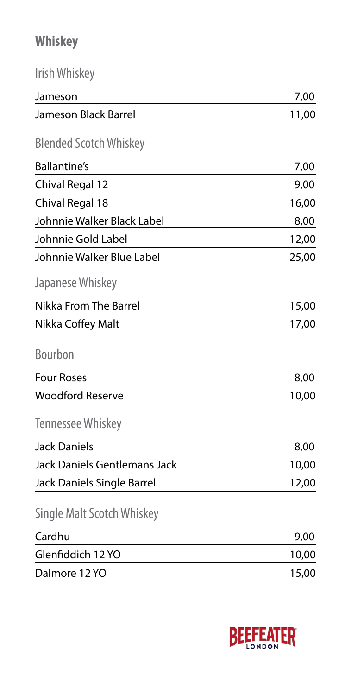## **Whiskey**

| <b>Irish Whiskey</b>              |       |
|-----------------------------------|-------|
| Jameson                           | 7,00  |
| Jameson Black Barrel              | 11,00 |
| <b>Blended Scotch Whiskey</b>     |       |
| <b>Ballantine's</b>               | 7,00  |
| <b>Chival Regal 12</b>            | 9,00  |
| Chival Regal 18                   | 16,00 |
| Johnnie Walker Black Label        | 8,00  |
| Johnnie Gold Label                | 12,00 |
| Johnnie Walker Blue Label         | 25,00 |
| Japanese Whiskey                  |       |
| <b>Nikka From The Barrel</b>      | 15,00 |
| Nikka Coffey Malt                 | 17,00 |
| <b>Bourbon</b>                    |       |
| <b>Four Roses</b>                 | 8,00  |
| <b>Woodford Reserve</b>           | 10,00 |
| Tennessee Whiskey                 |       |
| <b>Jack Daniels</b>               | 8,00  |
| Jack Daniels Gentlemans Jack      | 10,00 |
| <b>Jack Daniels Single Barrel</b> | 12,00 |
| Single Malt Scotch Whiskey        |       |
| Cardhu                            | 9,00  |
| Glenfiddich 12 YO                 | 10,00 |
| Dalmore 12 YO                     | 15,00 |

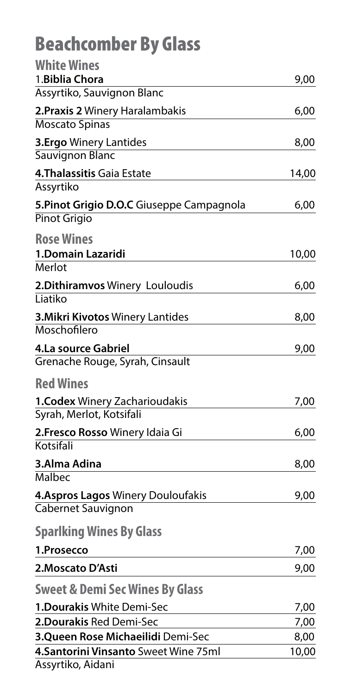# Beachcomber By Glass

| <b>White Wines</b>                                               |       |
|------------------------------------------------------------------|-------|
| 1. Biblia Chora                                                  | 9,00  |
| Assyrtiko, Sauvignon Blanc                                       |       |
| 2. Praxis 2 Winery Haralambakis                                  | 6,00  |
| <b>Moscato Spinas</b>                                            |       |
| <b>3. Ergo</b> Winery Lantides                                   | 8,00  |
| Sauvignon Blanc                                                  |       |
| 4. Thalassitis Gaia Estate                                       | 14,00 |
| Assyrtiko                                                        |       |
| 5. Pinot Grigio D.O.C Giuseppe Campagnola<br><b>Pinot Grigio</b> | 6,00  |
|                                                                  |       |
| <b>Rose Wines</b>                                                |       |
| 1.Domain Lazaridi<br>Merlot                                      | 10,00 |
| 2. Dithiramvos Winery Louloudis                                  | 6,00  |
| Liatiko                                                          |       |
| <b>3. Mikri Kivotos Winery Lantides</b>                          | 8,00  |
| Moschofilero                                                     |       |
| 4.La source Gabriel                                              | 9,00  |
| Grenache Rouge, Syrah, Cinsault                                  |       |
| <b>Red Wines</b>                                                 |       |
| <b>1. Codex</b> Winery Zacharioudakis                            | 7,00  |
| Syrah, Merlot, Kotsifali                                         |       |
| 2. Fresco Rosso Winery Idaia Gi                                  | 6,00  |
| Kotsifali                                                        |       |
| 3.Alma Adina                                                     | 8,00  |
| Malbec                                                           |       |
| 4. Aspros Lagos Winery Douloufakis                               | 9,00  |
| Cabernet Sauvignon                                               |       |
| <b>Sparlking Wines By Glass</b>                                  |       |
| 1.Prosecco                                                       | 7,00  |
| 2. Moscato D'Asti                                                | 9,00  |
| <b>Sweet &amp; Demi Sec Wines By Glass</b>                       |       |
| <b>1. Dourakis White Demi-Sec</b>                                | 7,00  |
| 2. Dourakis Red Demi-Sec                                         | 7,00  |
| <b>3.Queen Rose Michaeilidi Demi-Sec</b>                         | 8,00  |
| 4. Santorini Vinsanto Sweet Wine 75ml                            | 10,00 |
| Assyrtiko, Aidani                                                |       |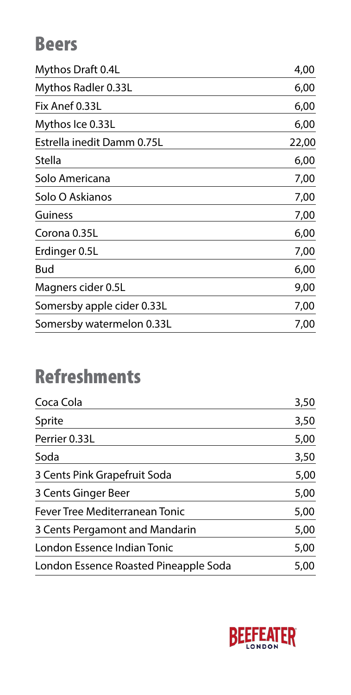# Beers

| <b>Mythos Draft 0.4L</b>   | 4,00  |
|----------------------------|-------|
| Mythos Radler 0.33L        | 6,00  |
| Fix Anef 0.33L             | 6,00  |
| Mythos Ice 0.33L           | 6,00  |
| Estrella inedit Damm 0.75L | 22,00 |
| <b>Stella</b>              | 6,00  |
| Solo Americana             | 7,00  |
| Solo O Askianos            | 7,00  |
| <b>Guiness</b>             | 7,00  |
| Corona 0.35L               | 6,00  |
| Erdinger 0.5L              | 7,00  |
| <b>Bud</b>                 | 6,00  |
| Magners cider 0.5L         | 9,00  |
| Somersby apple cider 0.33L | 7,00  |
| Somersby watermelon 0.33L  | 7,00  |

# Refreshments

| Coca Cola                             | 3,50 |
|---------------------------------------|------|
| Sprite                                | 3,50 |
| Perrier 0.33L                         | 5,00 |
| Soda                                  | 3,50 |
| 3 Cents Pink Grapefruit Soda          | 5,00 |
| 3 Cents Ginger Beer                   | 5,00 |
| <b>Fever Tree Mediterranean Tonic</b> | 5,00 |
| 3 Cents Pergamont and Mandarin        | 5,00 |
| London Essence Indian Tonic           | 5,00 |
| London Essence Roasted Pineapple Soda | 5,00 |
|                                       |      |